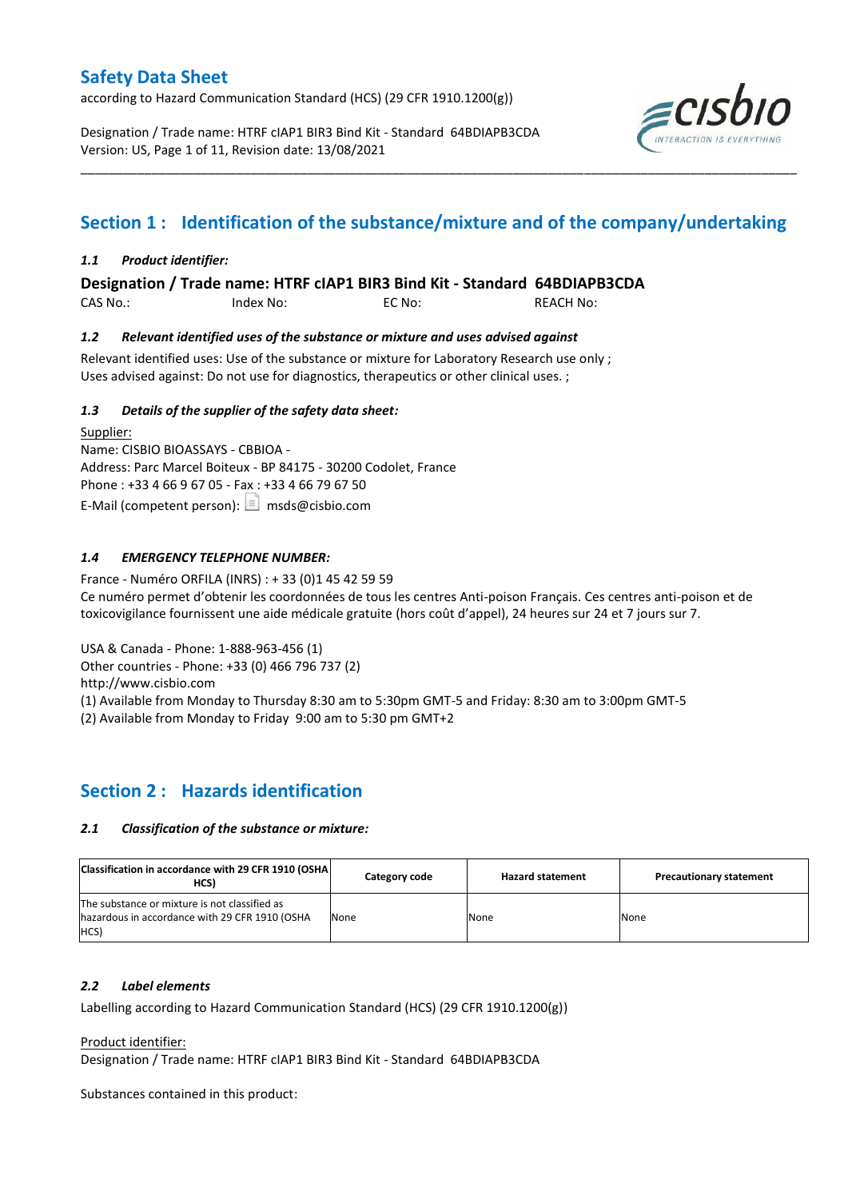according to Hazard Communication Standard (HCS) (29 CFR 1910.1200(g))

Designation / Trade name: HTRF cIAP1 BIR3 Bind Kit - Standard 64BDIAPB3CDA Version: US, Page 1 of 11, Revision date: 13/08/2021



# **Section 1 : Identification of the substance/mixture and of the company/undertaking**

\_\_\_\_\_\_\_\_\_\_\_\_\_\_\_\_\_\_\_\_\_\_\_\_\_\_\_\_\_\_\_\_\_\_\_\_\_\_\_\_\_\_\_\_\_\_\_\_\_\_\_\_\_\_\_\_\_\_\_\_\_\_\_\_\_\_\_\_\_\_\_\_\_\_\_\_\_\_\_\_\_\_\_\_\_\_\_\_\_\_\_\_\_\_\_\_\_\_\_\_\_

## *1.1 Product identifier:*

**Designation / Trade name: HTRF cIAP1 BIR3 Bind Kit - Standard 64BDIAPB3CDA** 

CAS No.: Index No: EC No: REACH No:

## *1.2 Relevant identified uses of the substance or mixture and uses advised against*

Relevant identified uses: Use of the substance or mixture for Laboratory Research use only ; Uses advised against: Do not use for diagnostics, therapeutics or other clinical uses. ;

## *1.3 Details of the supplier of the safety data sheet:*

Supplier: Name: CISBIO BIOASSAYS - CBBIOA - Address: Parc Marcel Boiteux - BP 84175 - 30200 Codolet, France Phone : +33 4 66 9 67 05 - Fax : +33 4 66 79 67 50 E-Mail (competent person):  $\boxed{\equiv}$  msds@cisbio.com

## *1.4 EMERGENCY TELEPHONE NUMBER:*

France - Numéro ORFILA (INRS) : + 33 (0)1 45 42 59 59 Ce numéro permet d'obtenir les coordonnées de tous les centres Anti-poison Français. Ces centres anti-poison et de toxicovigilance fournissent une aide médicale gratuite (hors coût d'appel), 24 heures sur 24 et 7 jours sur 7.

USA & Canada - Phone: 1-888-963-456 (1)

Other countries - Phone: +33 (0) 466 796 737 (2)

http://www.cisbio.com

(1) Available from Monday to Thursday 8:30 am to 5:30pm GMT-5 and Friday: 8:30 am to 3:00pm GMT-5

(2) Available from Monday to Friday 9:00 am to 5:30 pm GMT+2

## **Section 2 : Hazards identification**

#### *2.1 Classification of the substance or mixture:*

| Classification in accordance with 29 CFR 1910 (OSHA)<br>HCS)                                                  | Category code | <b>Hazard statement</b> | <b>Precautionary statement</b> |
|---------------------------------------------------------------------------------------------------------------|---------------|-------------------------|--------------------------------|
| The substance or mixture is not classified as<br>hazardous in accordance with 29 CFR 1910 (OSHA<br><b>HCS</b> | None          | None                    | None                           |

#### *2.2 Label elements*

Labelling according to Hazard Communication Standard (HCS) (29 CFR 1910.1200(g))

Product identifier:

Designation / Trade name: HTRF cIAP1 BIR3 Bind Kit - Standard 64BDIAPB3CDA

Substances contained in this product: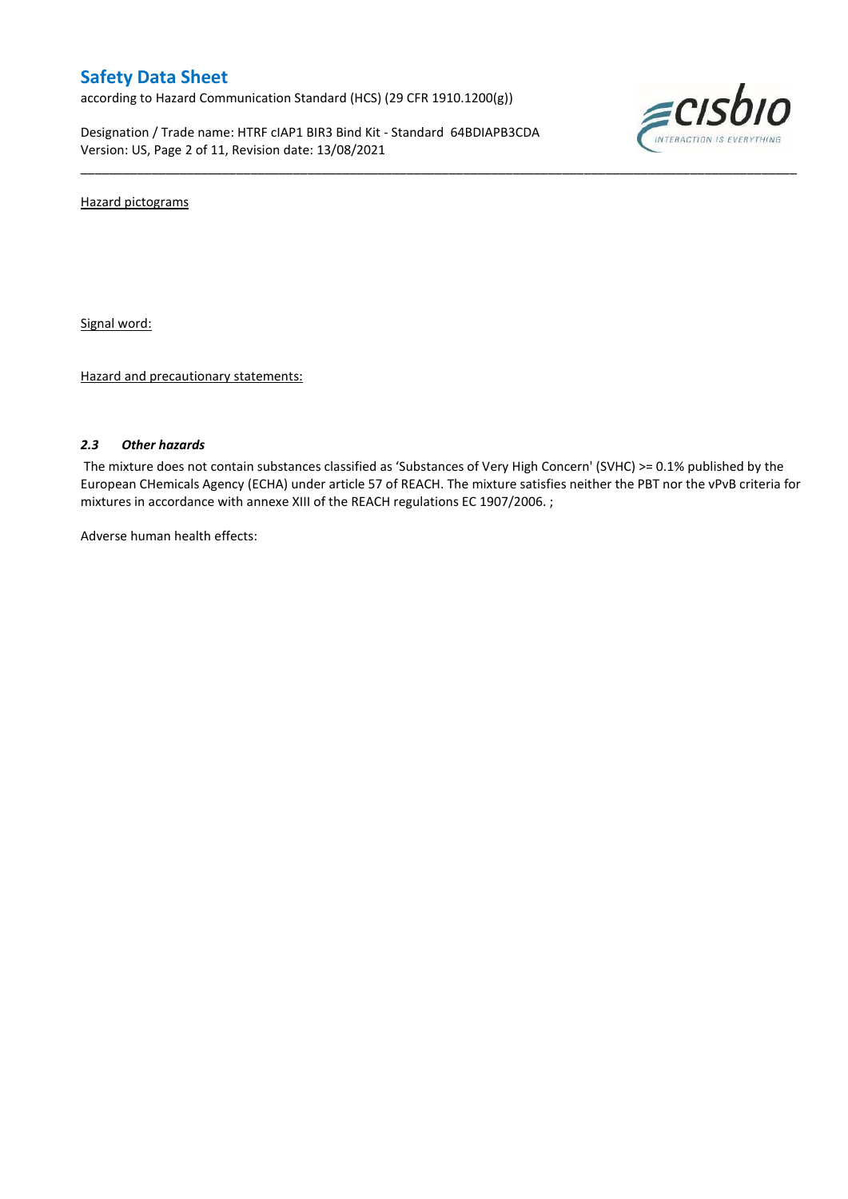according to Hazard Communication Standard (HCS) (29 CFR 1910.1200(g))

Designation / Trade name: HTRF cIAP1 BIR3 Bind Kit - Standard 64BDIAPB3CDA Version: US, Page 2 of 11, Revision date: 13/08/2021



Hazard pictograms

Signal word:

Hazard and precautionary statements:

## *2.3 Other hazards*

The mixture does not contain substances classified as 'Substances of Very High Concern' (SVHC) >= 0.1% published by the European CHemicals Agency (ECHA) under article 57 of REACH. The mixture satisfies neither the PBT nor the vPvB criteria for mixtures in accordance with annexe XIII of the REACH regulations EC 1907/2006. ;

\_\_\_\_\_\_\_\_\_\_\_\_\_\_\_\_\_\_\_\_\_\_\_\_\_\_\_\_\_\_\_\_\_\_\_\_\_\_\_\_\_\_\_\_\_\_\_\_\_\_\_\_\_\_\_\_\_\_\_\_\_\_\_\_\_\_\_\_\_\_\_\_\_\_\_\_\_\_\_\_\_\_\_\_\_\_\_\_\_\_\_\_\_\_\_\_\_\_\_\_\_

Adverse human health effects: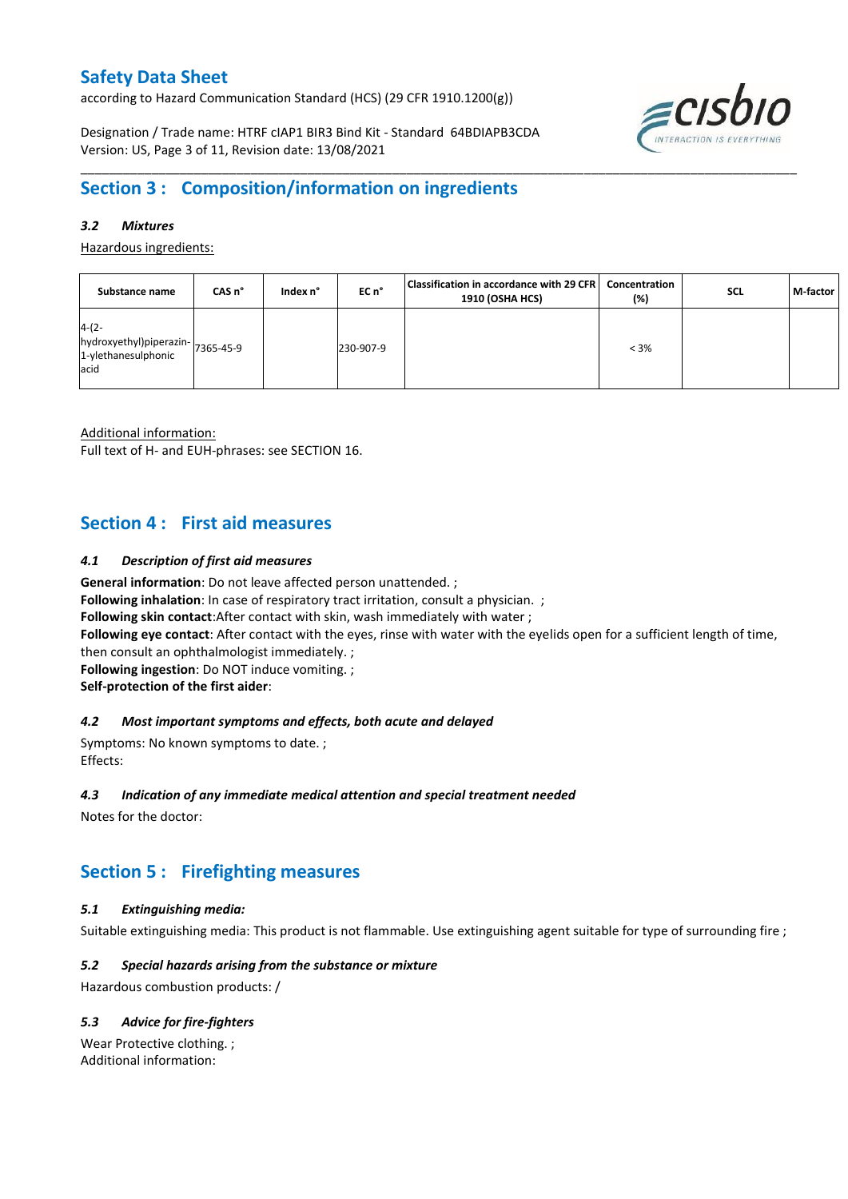according to Hazard Communication Standard (HCS) (29 CFR 1910.1200(g))

Designation / Trade name: HTRF cIAP1 BIR3 Bind Kit - Standard 64BDIAPB3CDA Version: US, Page 3 of 11, Revision date: 13/08/2021



## **Section 3 : Composition/information on ingredients**

## *3.2 Mixtures*

Hazardous ingredients:

| Substance name                                                              | CAS n° | Index n° | EC n°     | Classification in accordance with 29 CFR<br>1910 (OSHA HCS) | Concentration<br>(%) | <b>SCL</b> | M-factor |
|-----------------------------------------------------------------------------|--------|----------|-----------|-------------------------------------------------------------|----------------------|------------|----------|
| $4-(2-$<br>hydroxyethyl)piperazin-7365-45-9<br>1-ylethanesulphonic<br>lacid |        |          | 230-907-9 |                                                             | $< 3\%$              |            |          |

\_\_\_\_\_\_\_\_\_\_\_\_\_\_\_\_\_\_\_\_\_\_\_\_\_\_\_\_\_\_\_\_\_\_\_\_\_\_\_\_\_\_\_\_\_\_\_\_\_\_\_\_\_\_\_\_\_\_\_\_\_\_\_\_\_\_\_\_\_\_\_\_\_\_\_\_\_\_\_\_\_\_\_\_\_\_\_\_\_\_\_\_\_\_\_\_\_\_\_\_\_

Additional information:

Full text of H- and EUH-phrases: see SECTION 16.

## **Section 4 : First aid measures**

#### *4.1 Description of first aid measures*

**General information**: Do not leave affected person unattended. ;

**Following inhalation**: In case of respiratory tract irritation, consult a physician. ;

**Following skin contact**:After contact with skin, wash immediately with water ;

**Following eye contact**: After contact with the eyes, rinse with water with the eyelids open for a sufficient length of time,

then consult an ophthalmologist immediately. ;

**Following ingestion**: Do NOT induce vomiting. ;

**Self-protection of the first aider**:

#### *4.2 Most important symptoms and effects, both acute and delayed*

Symptoms: No known symptoms to date. ; Effects:

#### *4.3 Indication of any immediate medical attention and special treatment needed*

Notes for the doctor:

## **Section 5 : Firefighting measures**

## *5.1 Extinguishing media:*

Suitable extinguishing media: This product is not flammable. Use extinguishing agent suitable for type of surrounding fire ;

## *5.2 Special hazards arising from the substance or mixture*

Hazardous combustion products: /

## *5.3 Advice for fire-fighters*

Wear Protective clothing. ; Additional information: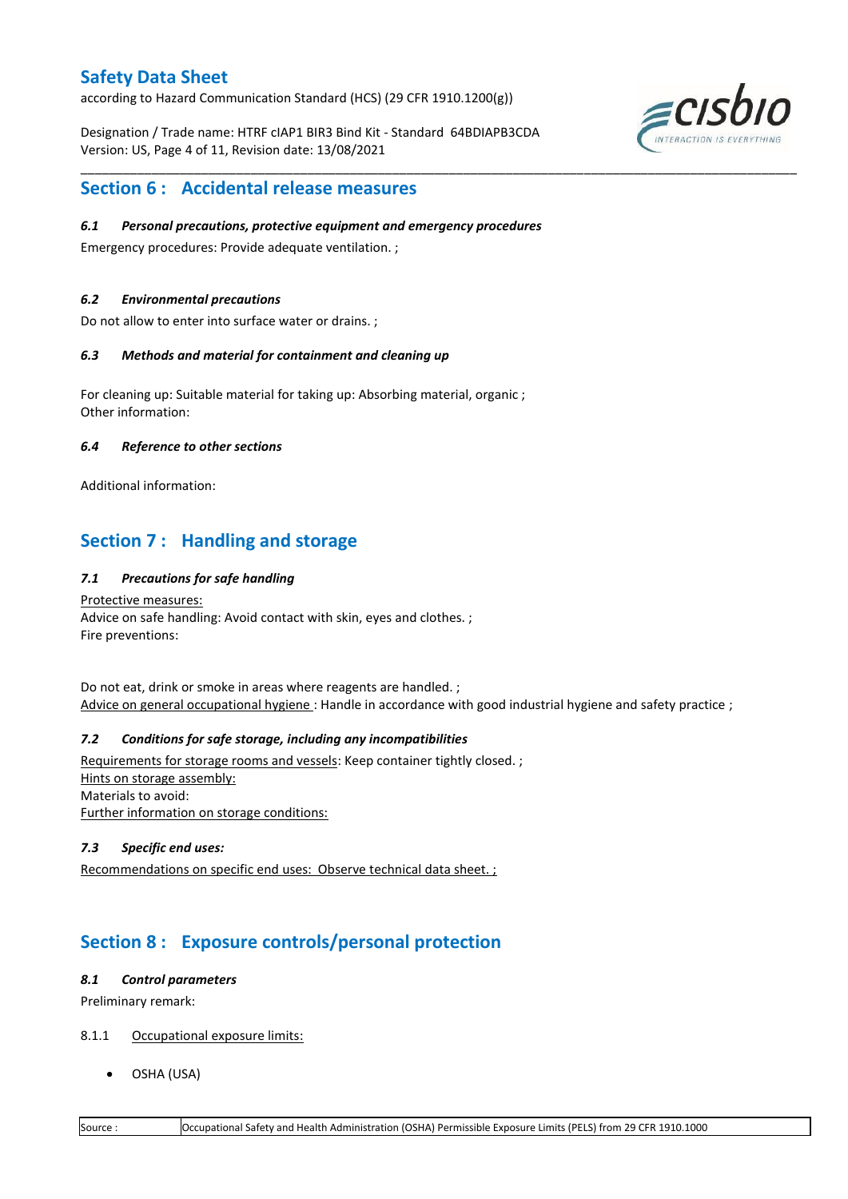according to Hazard Communication Standard (HCS) (29 CFR 1910.1200(g))

Designation / Trade name: HTRF cIAP1 BIR3 Bind Kit - Standard 64BDIAPB3CDA Version: US, Page 4 of 11, Revision date: 13/08/2021

\_\_\_\_\_\_\_\_\_\_\_\_\_\_\_\_\_\_\_\_\_\_\_\_\_\_\_\_\_\_\_\_\_\_\_\_\_\_\_\_\_\_\_\_\_\_\_\_\_\_\_\_\_\_\_\_\_\_\_\_\_\_\_\_\_\_\_\_\_\_\_\_\_\_\_\_\_\_\_\_\_\_\_\_\_\_\_\_\_\_\_\_\_\_\_\_\_\_\_\_\_



## **Section 6 : Accidental release measures**

#### *6.1 Personal precautions, protective equipment and emergency procedures*

Emergency procedures: Provide adequate ventilation. ;

#### *6.2 Environmental precautions*

Do not allow to enter into surface water or drains. ;

#### *6.3 Methods and material for containment and cleaning up*

For cleaning up: Suitable material for taking up: Absorbing material, organic ; Other information:

#### *6.4 Reference to other sections*

Additional information:

## **Section 7 : Handling and storage**

## *7.1 Precautions for safe handling*

Protective measures: Advice on safe handling: Avoid contact with skin, eyes and clothes. ; Fire preventions:

Do not eat, drink or smoke in areas where reagents are handled. ; Advice on general occupational hygiene: Handle in accordance with good industrial hygiene and safety practice ;

## *7.2 Conditions for safe storage, including any incompatibilities*

Requirements for storage rooms and vessels: Keep container tightly closed. ; Hints on storage assembly: Materials to avoid: Further information on storage conditions:

#### *7.3 Specific end uses:*

Recommendations on specific end uses: Observe technical data sheet. ;

## **Section 8 : Exposure controls/personal protection**

#### *8.1 Control parameters*

Preliminary remark:

## 8.1.1 Occupational exposure limits:

OSHA (USA)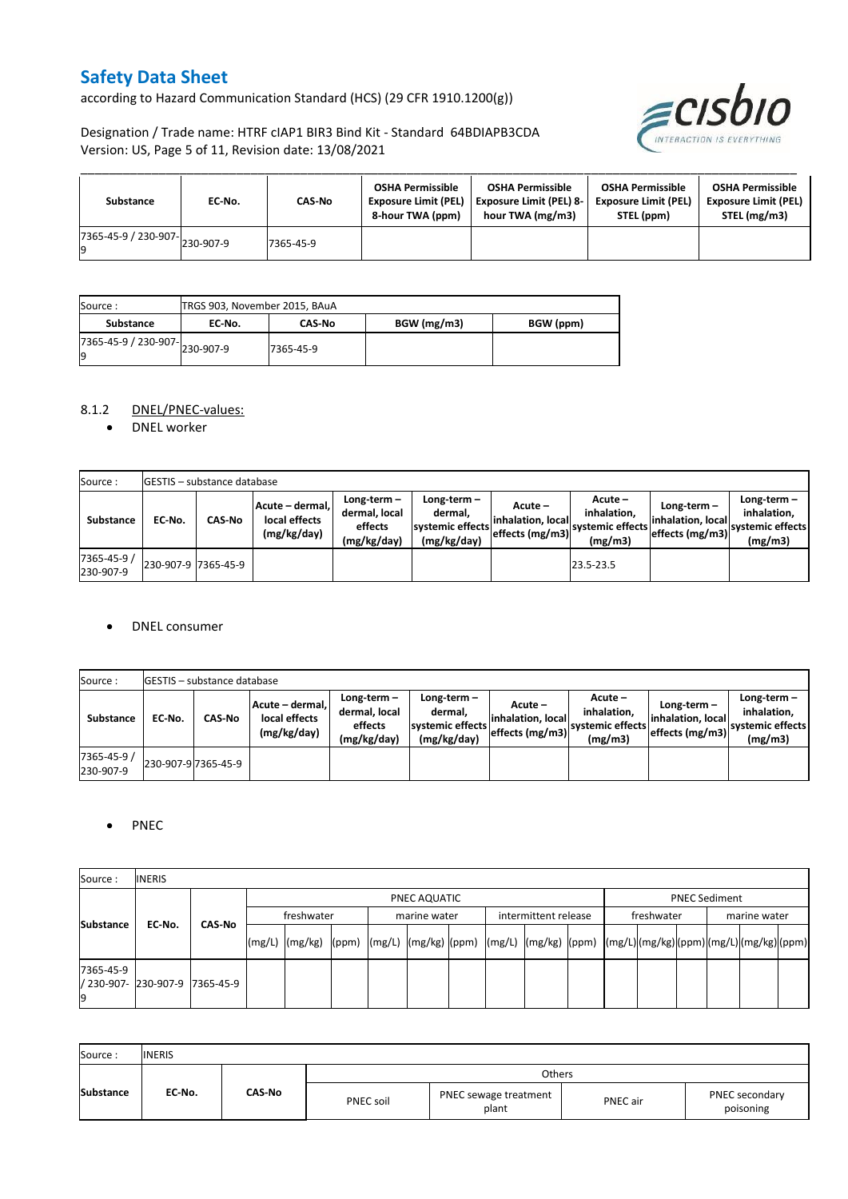according to Hazard Communication Standard (HCS) (29 CFR 1910.1200(g))

ECISDIO

## Designation / Trade name: HTRF cIAP1 BIR3 Bind Kit - Standard 64BDIAPB3CDA Version: US, Page 5 of 11, Revision date: 13/08/2021

| Substance                                       | EC No. | CAS-No    | <b>OSHA Permissible</b><br><b>Exposure Limit (PEL)</b><br>8-hour TWA (ppm) | <b>OSHA Permissible</b><br><b>Exposure Limit (PEL) 8-</b><br>hour TWA (mg/m3) | <b>OSHA Permissible</b><br><b>Exposure Limit (PEL)</b><br>STEL (ppm) | <b>OSHA Permissible</b><br><b>Exposure Limit (PEL)</b><br>STEL (mg/m3) |
|-------------------------------------------------|--------|-----------|----------------------------------------------------------------------------|-------------------------------------------------------------------------------|----------------------------------------------------------------------|------------------------------------------------------------------------|
| $(7365-45-9 / 230-907 - )$ <sub>230-907-9</sub> |        | 7365-45-9 |                                                                            |                                                                               |                                                                      |                                                                        |

| Source :                            |        | TRGS 903, November 2015, BAuA |             |           |  |  |  |  |
|-------------------------------------|--------|-------------------------------|-------------|-----------|--|--|--|--|
| Substance                           | EC No. | <b>CAS-No</b>                 | BGW (mg/m3) | BGW (ppm) |  |  |  |  |
| 7365-45-9 / 230-907-230-907-9<br>l9 |        | 7365-45-9                     |             |           |  |  |  |  |

## 8.1.2 DNEL/PNEC-values:

• DNEL worker

| Source:                  |                     | <b>IGESTIS - substance database</b> |                                                 |                                                          |                                                             |                                                   |                                                       |                                                        |                                                             |  |
|--------------------------|---------------------|-------------------------------------|-------------------------------------------------|----------------------------------------------------------|-------------------------------------------------------------|---------------------------------------------------|-------------------------------------------------------|--------------------------------------------------------|-------------------------------------------------------------|--|
| Substance                | EC No.              | <b>CAS-No</b>                       | Acute - dermal.<br>local effects<br>(mg/kg/day) | Long-term $-$<br>dermal, local<br>effects<br>(mg/kg/day) | Long-term $-$<br>dermal.<br>systemic effects<br>(mg/kg/day) | Acute –<br>linhalation. locall<br>effects (mg/m3) | Acute –<br>inhalation.<br>svstemic effects<br>(mg/m3) | Long-term $-$<br>linhalation. local<br>effects (mg/m3) | $Long-term -$<br>inhalation.<br>systemic effects<br>(mg/m3) |  |
| 7365-45-9 /<br>230-907-9 | 230-907-9 7365-45-9 |                                     |                                                 |                                                          |                                                             |                                                   | 23.5-23.5                                             |                                                        |                                                             |  |

#### DNEL consumer

| Source:                  |        | <b>GESTIS</b> - substance database |                                                 |                                                          |                                                             |                                                  |                                                       |                                                     |                                                             |
|--------------------------|--------|------------------------------------|-------------------------------------------------|----------------------------------------------------------|-------------------------------------------------------------|--------------------------------------------------|-------------------------------------------------------|-----------------------------------------------------|-------------------------------------------------------------|
| <b>Substance</b>         | EC No. | <b>CAS-No</b>                      | Acute - dermal.<br>local effects<br>(mg/kg/day) | Long-term $-$<br>dermal, local<br>effects<br>(mg/kg/day) | Long-term $-$<br>dermal.<br>systemic effects<br>(mg/kg/day) | Acute –<br>linhalation. local<br>effects (mg/m3) | Acute -<br>inhalation.<br>systemic effects<br>(mg/m3) | Long-term-<br>linhalation. local<br>effects (mg/m3) | Long-term $-$<br>inhalation.<br>systemic effects<br>(mg/m3) |
| 7365-45-9 /<br>230-907-9 |        | 230-907-9 7365-45-9                |                                                 |                                                          |                                                             |                                                  |                                                       |                                                     |                                                             |

## • PNEC

| Source:          | <b>INERIS</b>                  |  |        |                                                                                                                                                                                                                                                                                                                                                                                                                                                                   |  |  |              |  |                      |  |                      |            |  |              |  |  |  |
|------------------|--------------------------------|--|--------|-------------------------------------------------------------------------------------------------------------------------------------------------------------------------------------------------------------------------------------------------------------------------------------------------------------------------------------------------------------------------------------------------------------------------------------------------------------------|--|--|--------------|--|----------------------|--|----------------------|------------|--|--------------|--|--|--|
|                  |                                |  |        | PNEC AQUATIC                                                                                                                                                                                                                                                                                                                                                                                                                                                      |  |  |              |  |                      |  | <b>PNEC Sediment</b> |            |  |              |  |  |  |
|                  | EC-No.<br>CAS-No               |  |        | freshwater                                                                                                                                                                                                                                                                                                                                                                                                                                                        |  |  | marine water |  | intermittent release |  |                      | freshwater |  | marine water |  |  |  |
| <b>Substance</b> |                                |  | (mg/L) | $\lceil \frac{\text{mg}}{\text{mg}} \rceil \text{g} \rceil \text{g} \rceil \text{g} \rceil \text{g} \rceil \text{g} \rceil \text{g} \rceil \text{g} \rceil \text{g} \rceil \text{g} \rceil \text{g} \rceil \text{g} \rceil \text{g} \rceil \text{g} \rceil \text{g} \rceil \text{g} \rceil \text{g} \rceil \text{g} \rceil \text{g} \rceil \text{g} \rceil \text{g} \rceil \text{g} \rceil \text{g} \rceil \text{g} \rceil \text{g} \rceil \text{g} \rceil \text$ |  |  |              |  |                      |  |                      |            |  |              |  |  |  |
| 7365-45-9        | / 230-907- 230-907-9 7365-45-9 |  |        |                                                                                                                                                                                                                                                                                                                                                                                                                                                                   |  |  |              |  |                      |  |                      |            |  |              |  |  |  |

| Source:          | <b>INERIS</b> |        |                  |                                |          |                             |
|------------------|---------------|--------|------------------|--------------------------------|----------|-----------------------------|
|                  |               |        |                  | Others                         |          |                             |
| <b>Substance</b> | EC-No.        | CAS-No | <b>PNEC soil</b> | PNEC sewage treatment<br>plant | PNEC air | PNEC secondary<br>poisoning |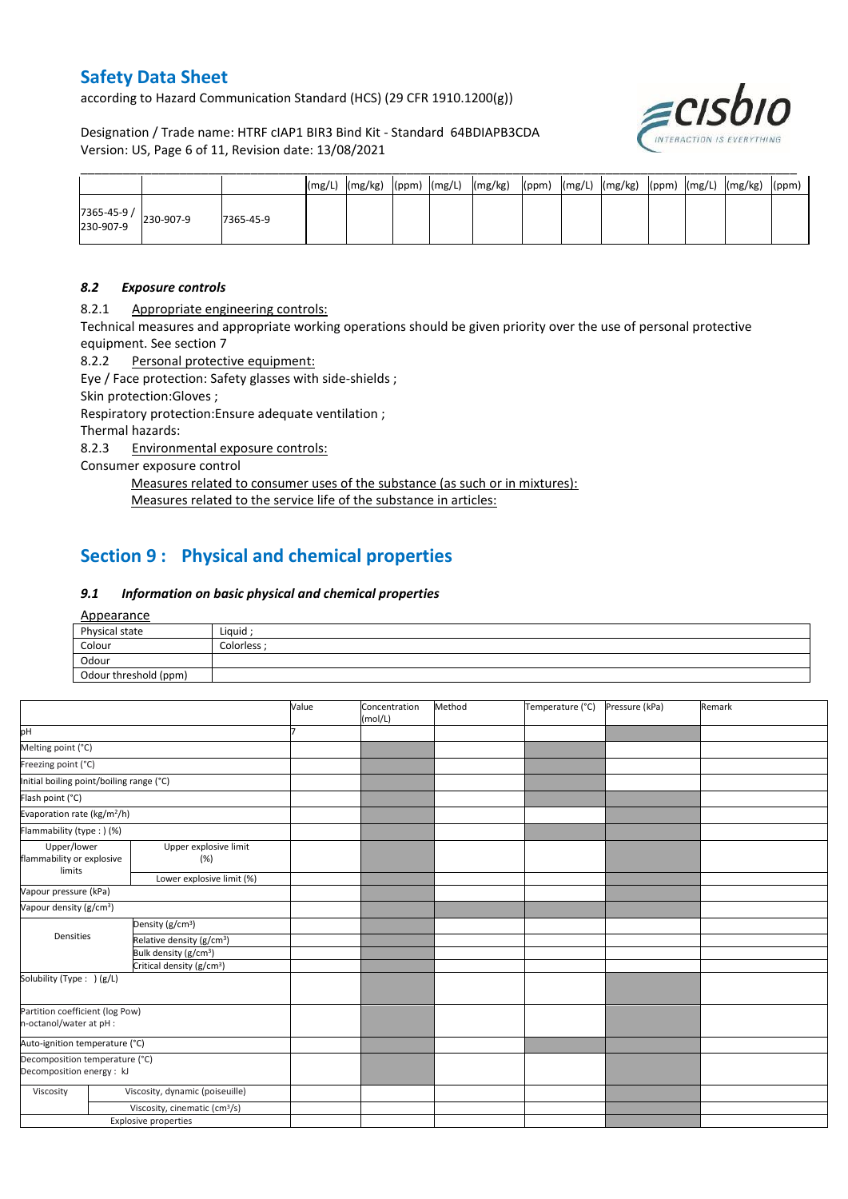according to Hazard Communication Standard (HCS) (29 CFR 1910.1200(g))

Designation / Trade name: HTRF cIAP1 BIR3 Bind Kit - Standard 64BDIAPB3CDA Version: US, Page 6 of 11, Revision date: 13/08/2021



|                         |           |           | (mg/L) | (mg/kg) | $(ppm)$ $(mg/L)$ | (mg/kg) | (ppm) | (mg/L) | (mg/kg) | (ppm) | (mg/L) | (mg/kg) | (ppm) |
|-------------------------|-----------|-----------|--------|---------|------------------|---------|-------|--------|---------|-------|--------|---------|-------|
| 7365-45-9/<br>230-907-9 | 230-907-9 | 7365-45-9 |        |         |                  |         |       |        |         |       |        |         |       |

#### *8.2 Exposure controls*

8.2.1 Appropriate engineering controls:

Technical measures and appropriate working operations should be given priority over the use of personal protective equipment. See section 7

8.2.2 Personal protective equipment:

Eye / Face protection: Safety glasses with side-shields ;

Skin protection:Gloves ;

Respiratory protection:Ensure adequate ventilation ;

Thermal hazards:

8.2.3 Environmental exposure controls:

Consumer exposure control

Measures related to consumer uses of the substance (as such or in mixtures): Measures related to the service life of the substance in articles:

## **Section 9 : Physical and chemical properties**

## *9.1 Information on basic physical and chemical properties*

Appearance

| Physical state        | Liquid ;    |
|-----------------------|-------------|
| Colour                | Colorless ; |
| Odour                 |             |
| Odour threshold (ppm) |             |

|                                                             |                                           | Value | Concentration<br>(mol/L) | Method | Temperature (°C) | Pressure (kPa) | Remark |
|-------------------------------------------------------------|-------------------------------------------|-------|--------------------------|--------|------------------|----------------|--------|
| pH                                                          |                                           |       |                          |        |                  |                |        |
| Melting point (°C)                                          |                                           |       |                          |        |                  |                |        |
| Freezing point (°C)                                         |                                           |       |                          |        |                  |                |        |
| Initial boiling point/boiling range (°C)                    |                                           |       |                          |        |                  |                |        |
| Flash point (°C)                                            |                                           |       |                          |        |                  |                |        |
| Evaporation rate (kg/m <sup>2</sup> /h)                     |                                           |       |                          |        |                  |                |        |
| Flammability (type : ) (%)                                  |                                           |       |                          |        |                  |                |        |
| Upper/lower<br>flammability or explosive<br>limits          | Upper explosive limit<br>(%)              |       |                          |        |                  |                |        |
| Lower explosive limit (%)                                   |                                           |       |                          |        |                  |                |        |
| Vapour pressure (kPa)                                       |                                           |       |                          |        |                  |                |        |
| Vapour density (g/cm <sup>3</sup> )                         |                                           |       |                          |        |                  |                |        |
|                                                             | Density (g/cm <sup>3</sup> )              |       |                          |        |                  |                |        |
| Densities                                                   | Relative density (g/cm <sup>3</sup> )     |       |                          |        |                  |                |        |
|                                                             | Bulk density (g/cm <sup>3</sup> )         |       |                          |        |                  |                |        |
|                                                             | Critical density (g/cm <sup>3</sup> )     |       |                          |        |                  |                |        |
| Solubility (Type: ) (g/L)                                   |                                           |       |                          |        |                  |                |        |
| Partition coefficient (log Pow)<br>n-octanol/water at pH :  |                                           |       |                          |        |                  |                |        |
| Auto-ignition temperature (°C)                              |                                           |       |                          |        |                  |                |        |
| Decomposition temperature (°C)<br>Decomposition energy : kJ |                                           |       |                          |        |                  |                |        |
| Viscosity                                                   | Viscosity, dynamic (poiseuille)           |       |                          |        |                  |                |        |
|                                                             | Viscosity, cinematic (cm <sup>3</sup> /s) |       |                          |        |                  |                |        |
|                                                             | <b>Explosive properties</b>               |       |                          |        |                  |                |        |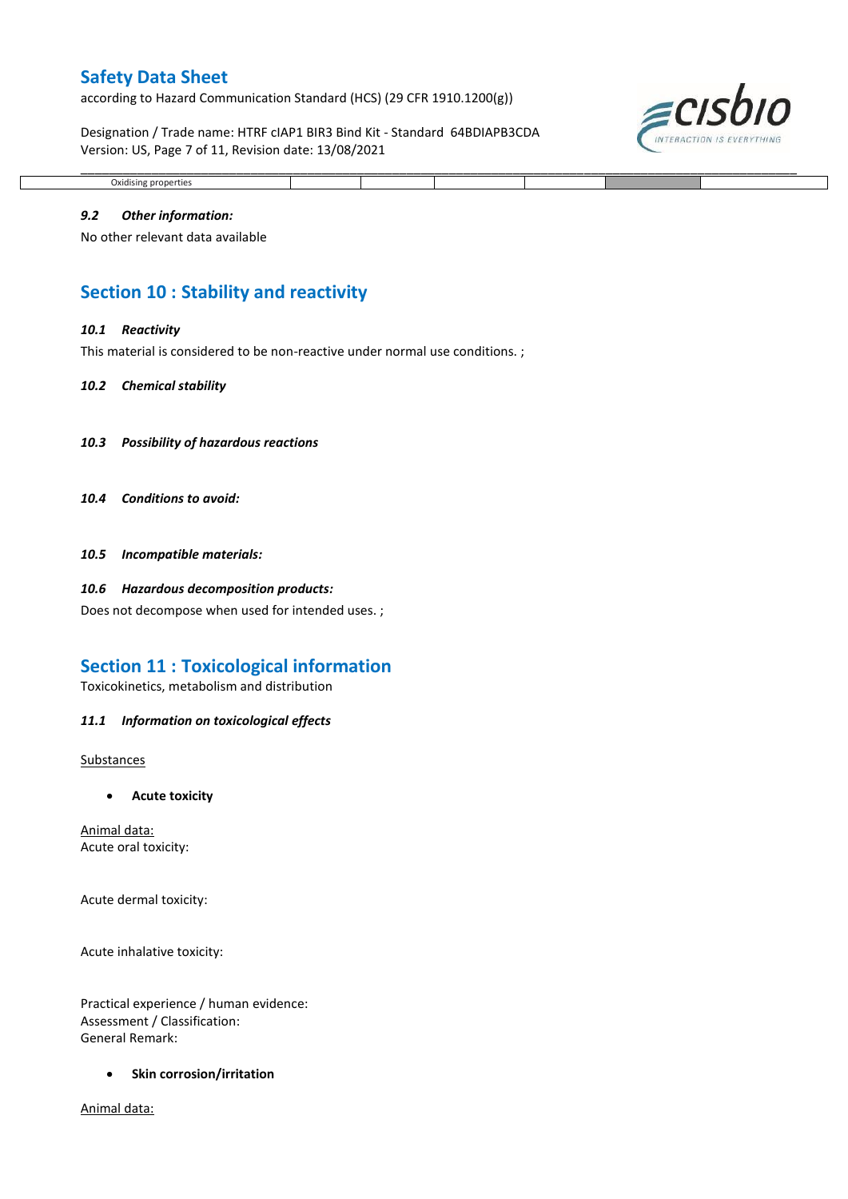according to Hazard Communication Standard (HCS) (29 CFR 1910.1200(g))

Designation / Trade name: HTRF cIAP1 BIR3 Bind Kit - Standard 64BDIAPB3CDA Version: US, Page 7 of 11, Revision date: 13/08/2021

\_\_\_\_\_\_\_\_\_\_\_\_\_\_\_\_\_\_\_\_\_\_\_\_\_\_\_\_\_\_\_\_\_\_\_\_\_\_\_\_\_\_\_\_\_\_\_\_\_\_\_\_\_\_\_\_\_\_\_\_\_\_\_\_\_\_\_\_\_\_\_\_\_\_\_\_\_\_\_\_\_\_\_\_\_\_\_\_\_\_\_\_\_\_\_\_\_\_\_\_\_



## *9.2 Other information:*

Oxidising properties

No other relevant data available

## **Section 10 : Stability and reactivity**

#### *10.1 Reactivity*

This material is considered to be non-reactive under normal use conditions. ;

#### *10.2 Chemical stability*

- *10.3 Possibility of hazardous reactions*
- *10.4 Conditions to avoid:*
- *10.5 Incompatible materials:*

#### *10.6 Hazardous decomposition products:*

Does not decompose when used for intended uses. ;

## **Section 11 : Toxicological information**

Toxicokinetics, metabolism and distribution

#### *11.1 Information on toxicological effects*

Substances

**Acute toxicity**

Animal data: Acute oral toxicity:

Acute dermal toxicity:

Acute inhalative toxicity:

Practical experience / human evidence: Assessment / Classification: General Remark:

**•** Skin corrosion/irritation

Animal data: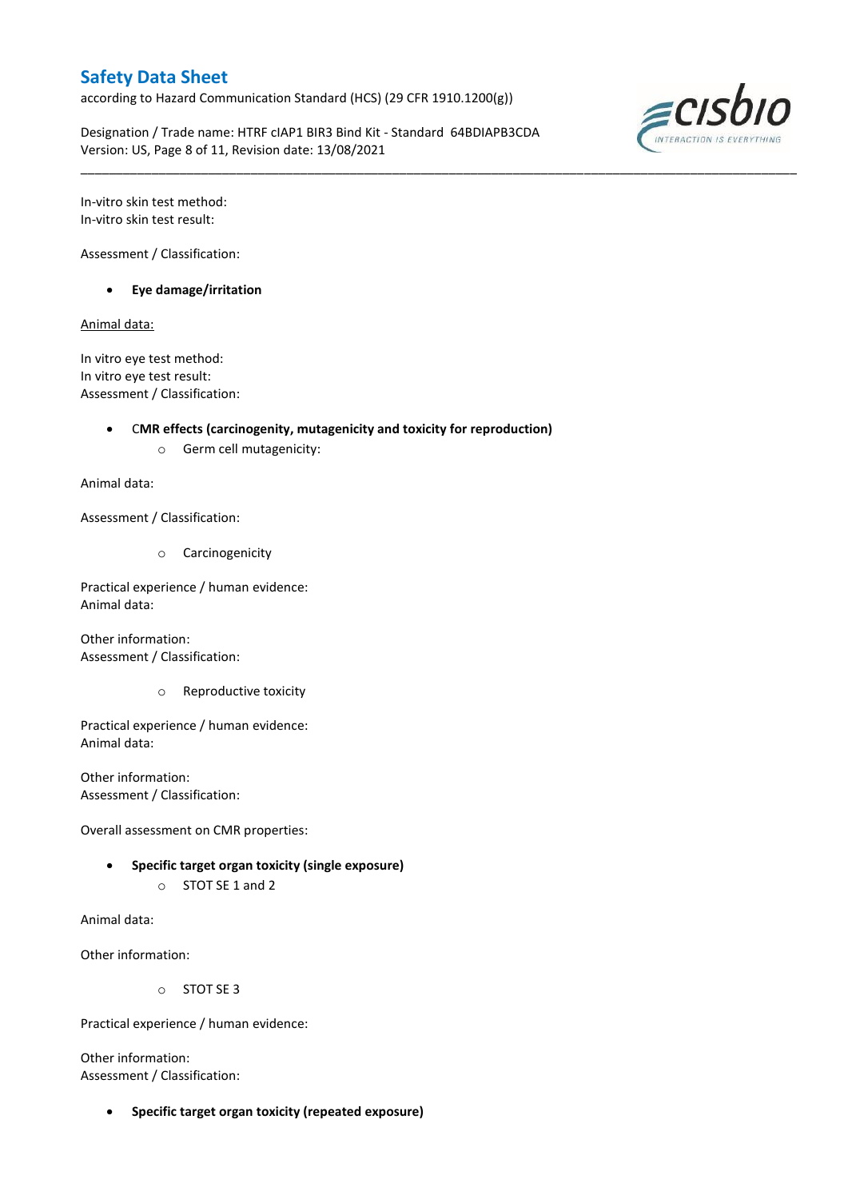according to Hazard Communication Standard (HCS) (29 CFR 1910.1200(g))

Designation / Trade name: HTRF cIAP1 BIR3 Bind Kit - Standard 64BDIAPB3CDA Version: US, Page 8 of 11, Revision date: 13/08/2021

\_\_\_\_\_\_\_\_\_\_\_\_\_\_\_\_\_\_\_\_\_\_\_\_\_\_\_\_\_\_\_\_\_\_\_\_\_\_\_\_\_\_\_\_\_\_\_\_\_\_\_\_\_\_\_\_\_\_\_\_\_\_\_\_\_\_\_\_\_\_\_\_\_\_\_\_\_\_\_\_\_\_\_\_\_\_\_\_\_\_\_\_\_\_\_\_\_\_\_\_\_



In-vitro skin test method: In-vitro skin test result:

Assessment / Classification:

**Eye damage/irritation**

Animal data:

In vitro eye test method: In vitro eye test result: Assessment / Classification:

## C**MR effects (carcinogenity, mutagenicity and toxicity for reproduction)**

o Germ cell mutagenicity:

Animal data:

Assessment / Classification:

o Carcinogenicity

Practical experience / human evidence: Animal data:

Other information: Assessment / Classification:

o Reproductive toxicity

Practical experience / human evidence: Animal data:

Other information: Assessment / Classification:

Overall assessment on CMR properties:

- **Specific target organ toxicity (single exposure)**
	- o STOT SE 1 and 2

Animal data:

Other information:

o STOT SE 3

Practical experience / human evidence:

Other information: Assessment / Classification:

**Specific target organ toxicity (repeated exposure)**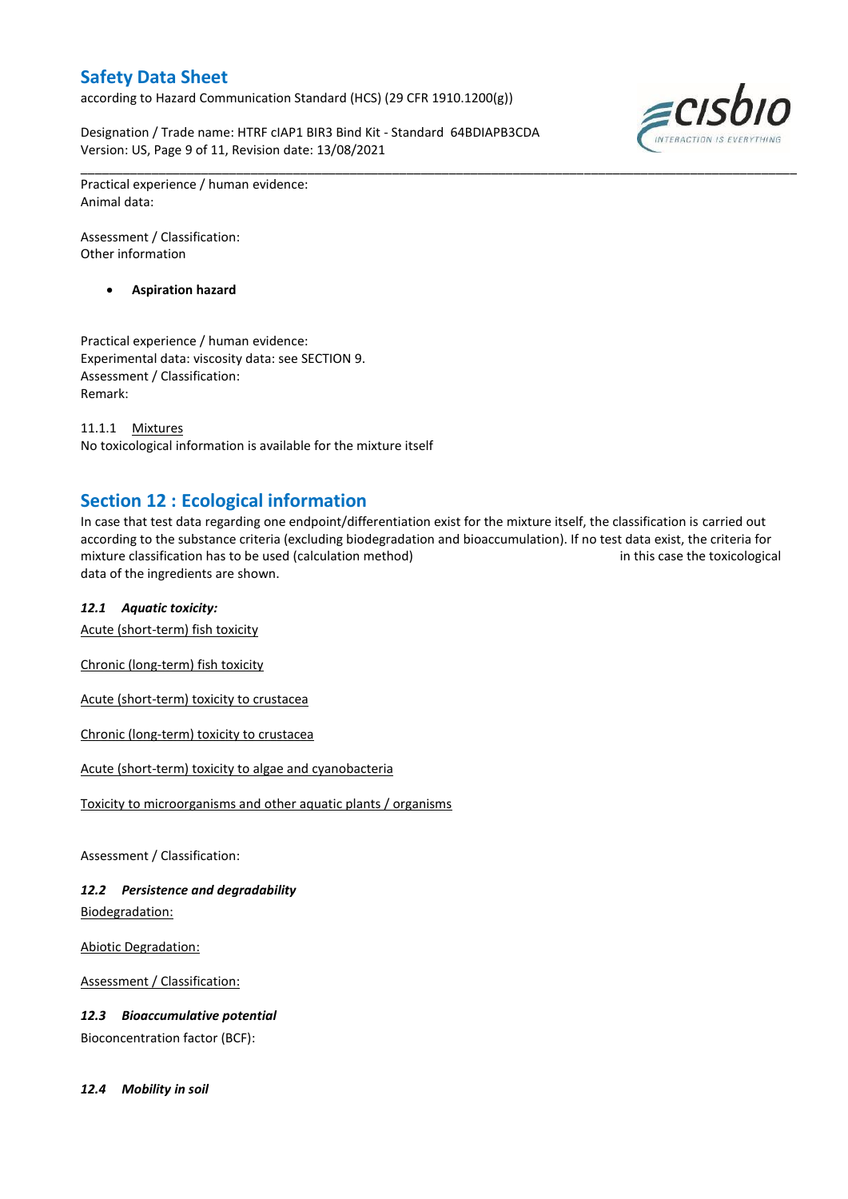according to Hazard Communication Standard (HCS) (29 CFR 1910.1200(g))

Designation / Trade name: HTRF cIAP1 BIR3 Bind Kit - Standard 64BDIAPB3CDA Version: US, Page 9 of 11, Revision date: 13/08/2021



\_\_\_\_\_\_\_\_\_\_\_\_\_\_\_\_\_\_\_\_\_\_\_\_\_\_\_\_\_\_\_\_\_\_\_\_\_\_\_\_\_\_\_\_\_\_\_\_\_\_\_\_\_\_\_\_\_\_\_\_\_\_\_\_\_\_\_\_\_\_\_\_\_\_\_\_\_\_\_\_\_\_\_\_\_\_\_\_\_\_\_\_\_\_\_\_\_\_\_\_\_ Practical experience / human evidence: Animal data:

Assessment / Classification: Other information

**Aspiration hazard**

Practical experience / human evidence: Experimental data: viscosity data: see SECTION 9. Assessment / Classification: Remark:

11.1.1 Mixtures No toxicological information is available for the mixture itself

## **Section 12 : Ecological information**

In case that test data regarding one endpoint/differentiation exist for the mixture itself, the classification is carried out according to the substance criteria (excluding biodegradation and bioaccumulation). If no test data exist, the criteria for mixture classification has to be used (calculation method) in this case the toxicological data of the ingredients are shown.

## *12.1 Aquatic toxicity:*

Acute (short-term) fish toxicity

Chronic (long-term) fish toxicity

Acute (short-term) toxicity to crustacea

Chronic (long-term) toxicity to crustacea

Acute (short-term) toxicity to algae and cyanobacteria

Toxicity to microorganisms and other aquatic plants / organisms

Assessment / Classification:

## *12.2 Persistence and degradability*

Biodegradation:

Abiotic Degradation:

Assessment / Classification:

*12.3 Bioaccumulative potential*

Bioconcentration factor (BCF):

*12.4 Mobility in soil*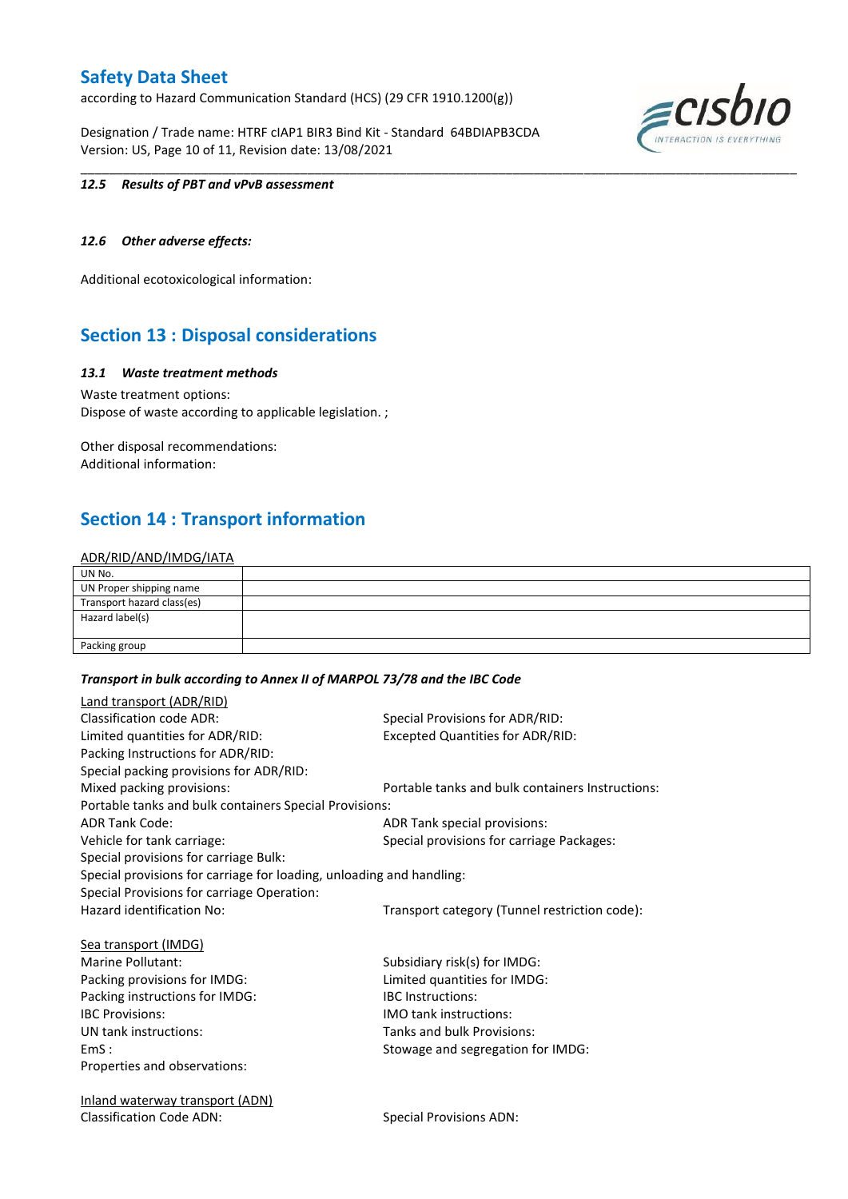according to Hazard Communication Standard (HCS) (29 CFR 1910.1200(g))

Designation / Trade name: HTRF cIAP1 BIR3 Bind Kit - Standard 64BDIAPB3CDA Version: US, Page 10 of 11, Revision date: 13/08/2021



#### *12.5 Results of PBT and vPvB assessment*

## *12.6 Other adverse effects:*

Additional ecotoxicological information:

## **Section 13 : Disposal considerations**

#### *13.1 Waste treatment methods*

Waste treatment options: Dispose of waste according to applicable legislation. ;

Other disposal recommendations: Additional information:

## **Section 14 : Transport information**

## ADR/RID/AND/IMDG/IATA

| UN No.                     |  |
|----------------------------|--|
| UN Proper shipping name    |  |
| Transport hazard class(es) |  |
| Hazard label(s)            |  |
|                            |  |
| Packing group              |  |

\_\_\_\_\_\_\_\_\_\_\_\_\_\_\_\_\_\_\_\_\_\_\_\_\_\_\_\_\_\_\_\_\_\_\_\_\_\_\_\_\_\_\_\_\_\_\_\_\_\_\_\_\_\_\_\_\_\_\_\_\_\_\_\_\_\_\_\_\_\_\_\_\_\_\_\_\_\_\_\_\_\_\_\_\_\_\_\_\_\_\_\_\_\_\_\_\_\_\_\_\_

#### *Transport in bulk according to Annex II of MARPOL 73/78 and the IBC Code*

| Land transport (ADR/RID)                                             |                                                  |
|----------------------------------------------------------------------|--------------------------------------------------|
| <b>Classification code ADR:</b>                                      | Special Provisions for ADR/RID:                  |
| Limited quantities for ADR/RID:                                      | <b>Excepted Quantities for ADR/RID:</b>          |
| Packing Instructions for ADR/RID:                                    |                                                  |
| Special packing provisions for ADR/RID:                              |                                                  |
| Mixed packing provisions:                                            | Portable tanks and bulk containers Instructions: |
| Portable tanks and bulk containers Special Provisions:               |                                                  |
| <b>ADR Tank Code:</b>                                                | ADR Tank special provisions:                     |
| Vehicle for tank carriage:                                           | Special provisions for carriage Packages:        |
| Special provisions for carriage Bulk:                                |                                                  |
| Special provisions for carriage for loading, unloading and handling: |                                                  |
| Special Provisions for carriage Operation:                           |                                                  |
| Hazard identification No:                                            | Transport category (Tunnel restriction code):    |
| Sea transport (IMDG)                                                 |                                                  |
| Marine Pollutant:                                                    | Subsidiary risk(s) for IMDG:                     |
| Packing provisions for IMDG:                                         | Limited quantities for IMDG:                     |
| Packing instructions for IMDG:                                       | <b>IBC</b> Instructions:                         |
| <b>IBC Provisions:</b>                                               | <b>IMO tank instructions:</b>                    |
| UN tank instructions:                                                | Tanks and bulk Provisions:                       |
| EmS:                                                                 | Stowage and segregation for IMDG:                |
| Properties and observations:                                         |                                                  |
| <u>Inland waterway transport (ADN)</u>                               |                                                  |
| <b>Classification Code ADN:</b>                                      | <b>Special Provisions ADN:</b>                   |